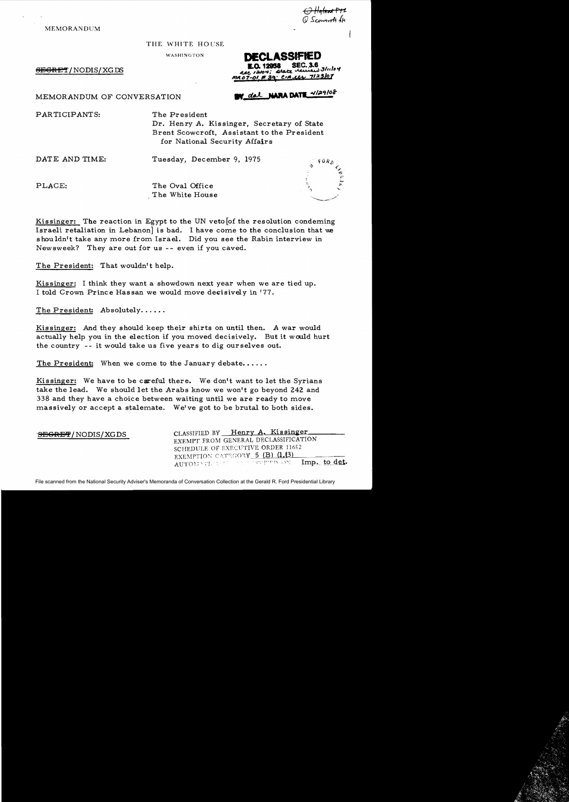MEMORANDUM

<del>O Hyland P71</del><br>Ø Scow<del>ersti</del> dje

'~ <"<1-) '.,",

;;;.

*!/r,* 

THE WHITE HOUSE

WASHINGTON

 $\overline{\text{SBGRET}}$ / NODIS/ XG DS

DECLASSIFIED  $33$ lıı $104$ <u>CIALLY 7123/07</u>

V dal NARA DATE 4/29/08

## MEMORANDUM OF CONVERSATION

PARTICIPANTS: The President

Dr. Henry A. Kissinger, Secretary of State Brent Scowcroft, Assistant to the President for National Security Affairs

DATE AND TIME: Tuesday, December 9, 1975

PLACE: The Oval Office The White House

Kissinger: The reaction in Egypt to the UN veto of the resolution condeming Israeli retaliation in Lebanon] is bad. I have come to the conclusion that we shouldn't take any more from Israel. Did you see the Rabin interview in Newsweek? They are out for us -- even if you caved.

The President: That wouldn't help.

Kissinger: I think they want a showdown next year when we are tied up. I told Crown Prince Hassan we would move decisively in '77.

The President: Absolutely......

Kissinger: And they should keep their shirts on until then. A war would actually help you in the election if you moved decisively. But it would hurt the country -- it would take us five years to dig ourselves out.

The President: When we come to the January debate......

Kissinger: We have to be careful there. We don't want to let the Syrians take the lead. We should let the Arabs know we won't go beyond 242 and 338 and they have a choice between waiting until we are ready to move massively or accept a stalemate. We've got to be brutal to both sides.

| <b>SEGRET/NODIS/XGDS</b> | CLASSIFIED BY Henry A. Kissinger<br>EXEMPT FROM GENERAL DECLASSIFICATION    |
|--------------------------|-----------------------------------------------------------------------------|
|                          | SCHEDULE OF EXECUTIVE ORDER 11652<br><b>EXEMPTION CATEGORY 5 (B) (1.63)</b> |
|                          | AUTOMATICA IN STUDIES IN Imp. to det.                                       |

File scanned from the National Security Adviser's Memoranda of Conversation Collection at the Gerald R. Ford Presidential Library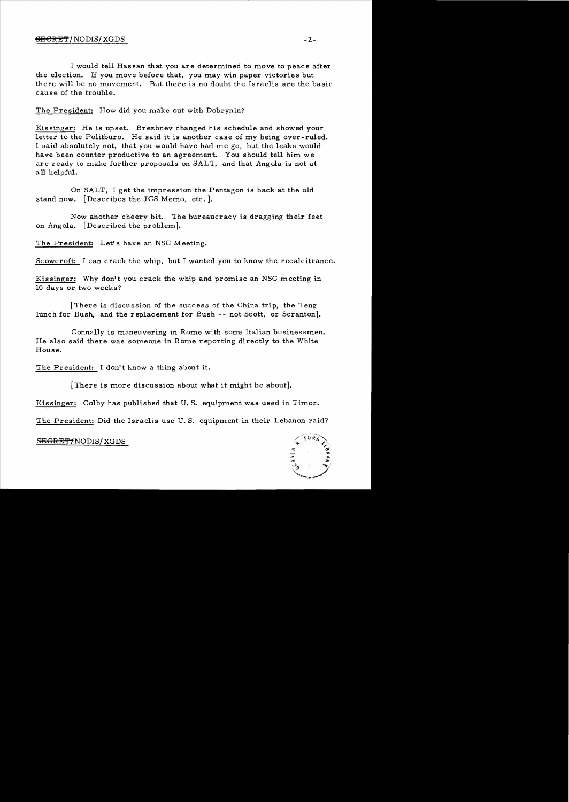## $\overline{\text{SEERET}}$ /NODIS/XGDS -2-

I would tell Hassan that you are determined to move to peace after the election. If you move before that, you may win paper victories but there will be no movement. But there is no doubt the Israelis are the basic cause of the trouble.

The President: How did you make out with Dobrynin?

Kissinger: He is upset. Brezhnev changed his schedule and showed your letter to the Politburo. He said it is another case of my being over-ruled. I said absolutely not, that you would have had me go. but the leaks would have been counter productive to an agreement. You should tell him we are ready to make further proposals on SALT, and that Angola is not at all helpful.

On SALT. I get the impression the Pentagon is back at the old stand now. [Describes the JCS Memo. etc.].

Now another cheery bit. The bureaucracy is dragging their feet on Angola. [Described the problem].

The President: Let's have an NSC Meeting.

Scowcroft: I can crack the whip, but I wanted you to know the recalcitrance.

Kissinger; Why don't you crack the whip and promise an NSC meeting in 10 days or two weeks?

[There is discussion of the success of the China trip. the Teng lunch for Bush. and the replacement for Bush -- not Scott, or Scranton].

Connally is maneuvering in Rome with some Italian businessmen. He also said there was someone in Rome reporting directly to the White House.

The President: I don't know a thing about it.

[There is more discussion about what it might be about].

Kissinger: Colby has published that U. S. equipment was used in Timor.

The President: Did the Israelis use U. S. equipment in their Lebanon raid?



 $S$ <del>EGRET/</del>NODIS/XGDS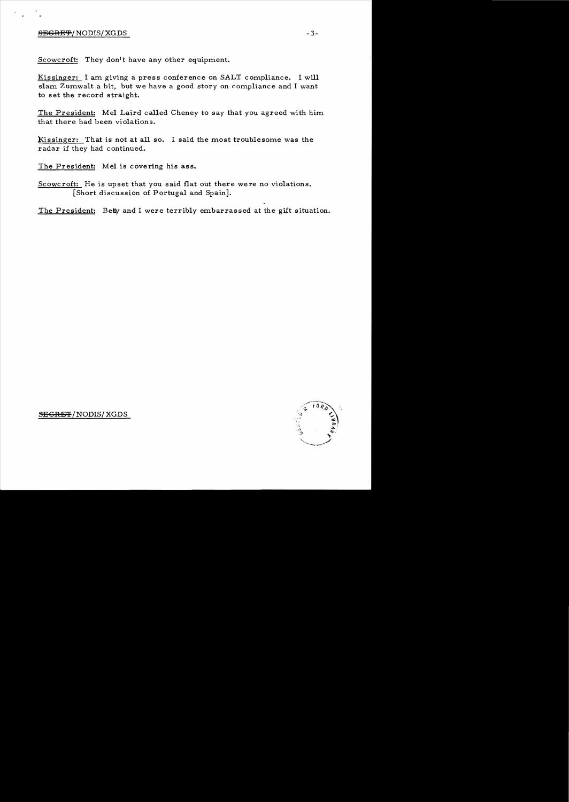## $S$ <del>EGRET</del>/NODIS/ XG DS  $-3-$

Scowcroft: They don't have any other equipment.

Kissinger: I am giving a press conference on SALT compliance. I will slam Zumwalt a bit. but we have a good story on compliance and I want to set the record straight.

The President: Mel Laird called Cheney to say that you agreed with him that there had been violations.

Kissinger: That is not at all so. I said the most troublesome was the radar if they had continued.

The President: Mel is covering his ass.

Scowcroft: He is upset that you said flat out there were no violations. [Short discussion of Portugal and Spain].

The President: Betty and I were terribly embarrassed at the gift situation.



 $S\rightarrow$ EGRET/NODIS/XGDS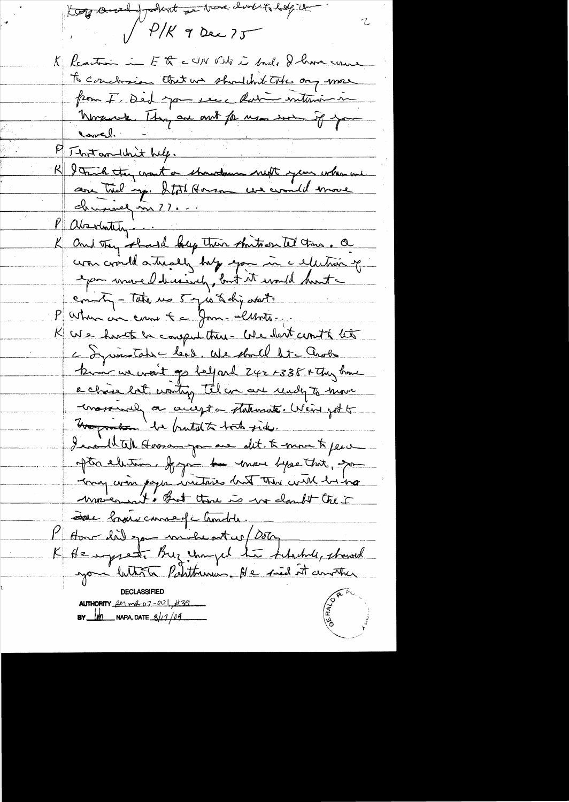Kog and paket a bar dubit hop the  $\mathcal{I}$  $1/\frac{\rho}{K}$  9 Dec 75 K Reaction in Ett cUN Vite in Inde & have come To conclosion that we shouldn't take any more poin F. Ded jou ve chatinaire November Thy are out for use won if you Correl. P That and with help. R & Trick they crant or showdown next your when we druppel m ??... Partity ... K and they should beg their shritoon tel tous. a was crowld a tradely holy exam in a electron of epon wroved decisively, but it would hunter county - Take us 5 yes & dry atents P When are come t = Jon - lunte -K We havet be computations - We lest count to the a Jywintate lead. We shall lite another kin we won't go belford 242 F338 A they brand a chase bot, wanting til are are ready to move mossmal on accepta statemate. Went got to brogratse la brutat to toth side. I evailable Horson par are dit to more to per after election. If you to ensure byse that, you may won poper initiares hunt this with him movement. But those is no doubt the I cette bruin comme de Combile. I Have daily go mile at us/ 05kg K Henryset Buz Uniged to Lhabel, showed you bitter Patitionen. He sied it constru AUTHORITY  $2e_1$  ma  $07 - 001$ ,  $\cancel{1139}$ **BY**  $\frac{1}{2}$  NARA, DATE  $\frac{8}{11}$   $\frac{109}{11}$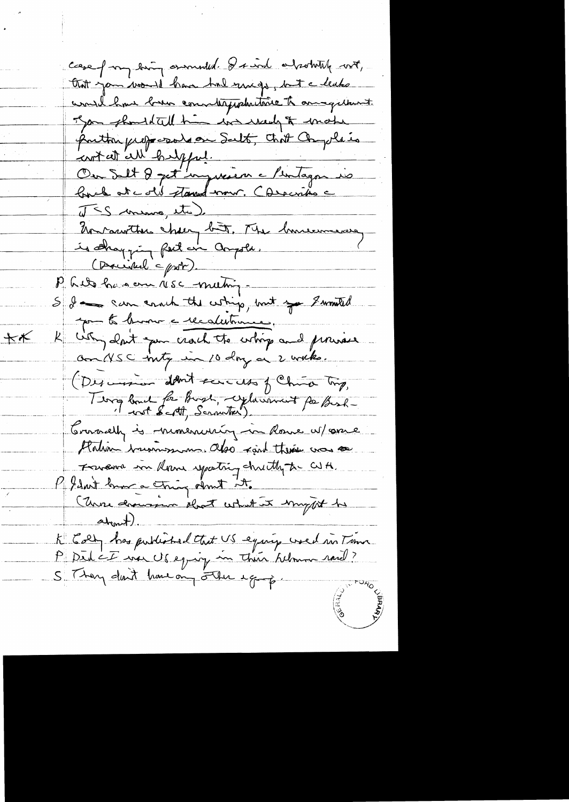case from bing enoughled. I such a pointing with, that you would have had mugo, but a leaks would have been conntappelations to an equinent. Jan should tell him in weedy to make puttin proposale on Salt, chit Compleie Ou Set 8 pet impression à Pentagon is J <S ming, etc) Un conviter chery bût. Me limiterment is shapping feet an anyole. (Described = prob). Minet has en resc meting S I som couch the whip, but you I would pour te brown a recalestrance.  $+$ K why don't you crach the whip and provise On NSC inty in 10 day or 2 with. (Descession debut services of China Try, Terry bound for Burgh, cyluminat for Besh-Crosselly is monementing in Rome w/ one Platin businessement also rain there was so Francence in Rome sparting chritty to CUA. My don't brow a tring don't it. (Unre drawssom drat what it import to abont). K Colf has published that US equip wed in Time<br>P Did CE was US equip in Their Almon rard?<br>S They don't have any other equipe